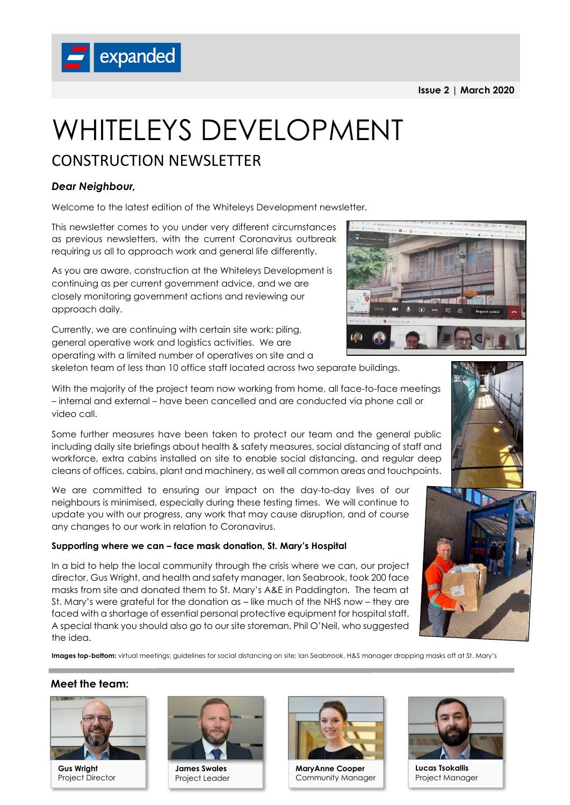**Issue 2 | March 2020**



# CONSTRUCTION NEWSLETTER

## *Dear Neighbour,*

Welcome to the latest edition of the Whiteleys Development newsletter.

This newsletter comes to you under very different circumstances as previous newsletters, with the current Coronavirus outbreak requiring us all to approach work and general life differently.

As you are aware, construction at the Whiteleys Development is continuing as per current government advice, and we are closely monitoring government actions and reviewing our approach daily.

Currently, we are continuing with certain site work: piling, general operative work and logistics activities. We are operating with a limited number of operatives on site and a

skeleton team of less than 10 office staff located across two separate buildings.

With the majority of the project team now working from home, all face-to-face meetings – internal and external – have been cancelled and are conducted via phone call or video call.

Some further measures have been taken to protect our team and the general public including daily site briefings about health & safety measures, social distancing of staff and workforce, extra cabins installed on site to enable social distancing, and regular deep cleans of offices, cabins, plant and machinery, as well all common areas and touchpoints.

We are committed to ensuring our impact on the day-to-day lives of our neighbours is minimised, especially during these testing times. We will continue to update you with our progress, any work that may cause disruption, and of course any changes to our work in relation to Coronavirus.

## **Supporting where we can – face mask donation, St. Mary's Hospital**

In a bid to help the local community through the crisis where we can, our project director, Gus Wright, and health and safety manager, Ian Seabrook, took 200 face masks from site and donated them to St. Mary's A&E in Paddington. The team at St. Mary's were grateful for the donation as – like much of the NHS now – they are faced with a shortage of essential personal protective equipment for hospital staff. A special thank you should also go to our site storeman, Phil O'Neil, who suggested the idea.

Images top-bottom: virtual meetings; guidelines for social distancing on site; Ian Seabrrook, H&S manager dropping masks off at St. Mary's

### **Meet the team:**



**Gus Wright** Project Director



**James Swales** Project Leader



**MaryAnne Cooper** Community Manager



**Lucas Tsokallis** Project Manager